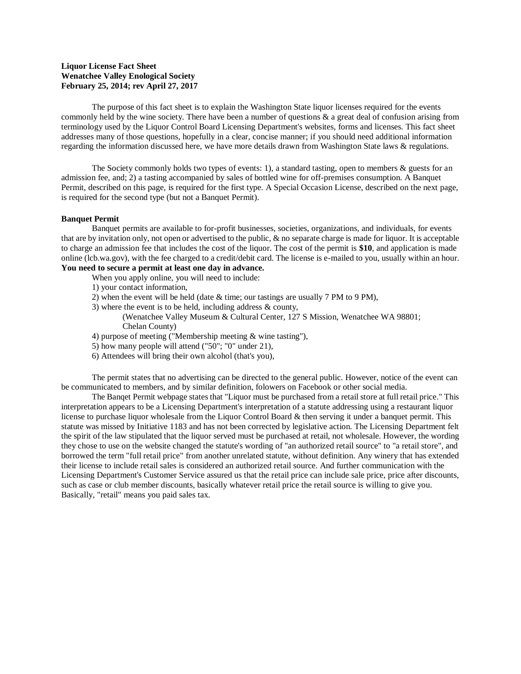## **Liquor License Fact Sheet Wenatchee Valley Enological Society February 25, 2014; rev April 27, 2017**

The purpose of this fact sheet is to explain the Washington State liquor licenses required for the events commonly held by the wine society. There have been a number of questions  $\&$  a great deal of confusion arising from terminology used by the Liquor Control Board Licensing Department's websites, forms and licenses. This fact sheet addresses many of those questions, hopefully in a clear, concise manner; if you should need additional information regarding the information discussed here, we have more details drawn from Washington State laws & regulations.

The Society commonly holds two types of events: 1), a standard tasting, open to members  $\&$  guests for an admission fee, and; 2) a tasting accompanied by sales of bottled wine for off-premises consumption. A Banquet Permit, described on this page, is required for the first type. A Special Occasion License, described on the next page, is required for the second type (but not a Banquet Permit).

## **Banquet Permit**

Banquet permits are available to for-profit businesses, societies, organizations, and individuals, for events that are by invitation only, not open or advertised to the public, & no separate charge is made for liquor. It is acceptable to charge an admission fee that includes the cost of the liquor. The cost of the permit is **\$10**, and application is made online (lcb.wa.gov), with the fee charged to a credit/debit card. The license is e-mailed to you, usually within an hour. **You need to secure a permit at least one day in advance.**

- When you apply online, you will need to include:
- 1) your contact information,
- 2) when the event will be held (date  $&$  time; our tastings are usually 7 PM to 9 PM),
- 3) where the event is to be held, including address & county,
	- (Wenatchee Valley Museum & Cultural Center, 127 S Mission, Wenatchee WA 98801; Chelan County)
- 4) purpose of meeting ("Membership meeting & wine tasting"),
- 5) how many people will attend ("50"; "0" under 21),
- 6) Attendees will bring their own alcohol (that's you),

The permit states that no advertising can be directed to the general public. However, notice of the event can be communicated to members, and by similar definition, folowers on Facebook or other social media.

The Banqet Permit webpage states that "Liquor must be purchased from a retail store at full retail price." This interpretation appears to be a Licensing Department's interpretation of a statute addressing using a restaurant liquor license to purchase liquor wholesale from the Liquor Control Board & then serving it under a banquet permit. This statute was missed by Initiative 1183 and has not been corrected by legislative action. The Licensing Department felt the spirit of the law stipulated that the liquor served must be purchased at retail, not wholesale. However, the wording they chose to use on the website changed the statute's wording of "an authorized retail source" to "a retail store", and borrowed the term "full retail price" from another unrelated statute, without definition. Any winery that has extended their license to include retail sales is considered an authorized retail source. And further communication with the Licensing Department's Customer Service assured us that the retail price can include sale price, price after discounts, such as case or club member discounts, basically whatever retail price the retail source is willing to give you. Basically, "retail" means you paid sales tax.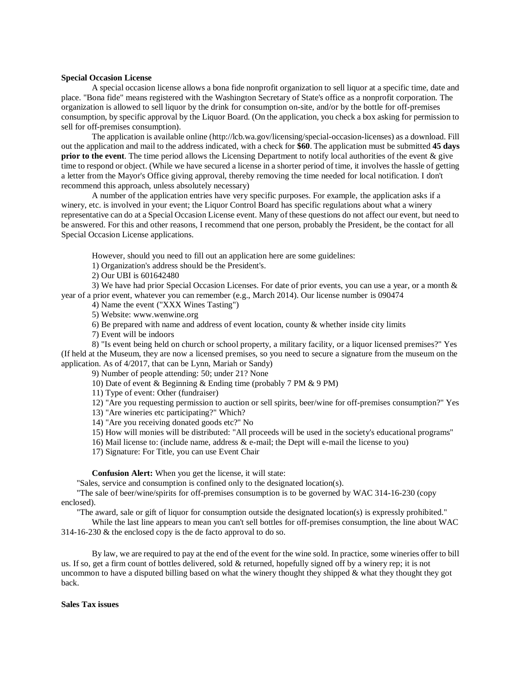## **Special Occasion License**

A special occasion license allows a bona fide nonprofit organization to sell liquor at a specific time, date and place. "Bona fide" means registered with the Washington Secretary of State's office as a nonprofit corporation. The organization is allowed to sell liquor by the drink for consumption on-site, and/or by the bottle for off-premises consumption, by specific approval by the Liquor Board. (On the application, you check a box asking for permission to sell for off-premises consumption).

The application is available online [\(http://lcb.wa.gov/licensing/special-occasion-licenses\)](http://lcb.wa.gov/licensing/special-occasion-licenses) as a download. Fill out the application and mail to the address indicated, with a check for **\$60**. The application must be submitted **45 days prior to the event**. The time period allows the Licensing Department to notify local authorities of the event & give time to respond or object. (While we have secured a license in a shorter period of time, it involves the hassle of getting a letter from the Mayor's Office giving approval, thereby removing the time needed for local notification. I don't recommend this approach, unless absolutely necessary)

A number of the application entries have very specific purposes. For example, the application asks if a winery, etc. is involved in your event; the Liquor Control Board has specific regulations about what a winery representative can do at a Special Occasion License event. Many of these questions do not affect our event, but need to be answered. For this and other reasons, I recommend that one person, probably the President, be the contact for all Special Occasion License applications.

However, should you need to fill out an application here are some guidelines:

1) Organization's address should be the President's.

2) Our UBI is 601642480

3) We have had prior Special Occasion Licenses. For date of prior events, you can use a year, or a month & year of a prior event, whatever you can remember (e.g., March 2014). Our license number is 090474

4) Name the event ("XXX Wines Tasting")

5) Website: [www.wenwine.org](file:///C:/Users/DLBon/AppData/Local/Packages/microsoft.windowscommunicationsapps_8wekyb3d8bbwe/LocalState/Files/S0/9/www.wenwine.org)

6) Be prepared with name and address of event location, county  $\&$  whether inside city limits

7) Event will be indoors

8) "Is event being held on church or school property, a military facility, or a liquor licensed premises?" Yes (If held at the Museum, they are now a licensed premises, so you need to secure a signature from the museum on the application. As of 4/2017, that can be Lynn, Mariah or Sandy)

9) Number of people attending: 50; under 21? None

10) Date of event & Beginning & Ending time (probably 7 PM & 9 PM)

11) Type of event: Other (fundraiser)

12) "Are you requesting permission to auction or sell spirits, beer/wine for off-premises consumption?" Yes

13) "Are wineries etc participating?" Which?

- 14) "Are you receiving donated goods etc?" No
- 15) How will monies will be distributed: "All proceeds will be used in the society's educational programs"

16) Mail license to: (include name, address & e-mail; the Dept will e-mail the license to you)

17) Signature: For Title, you can use Event Chair

**Confusion Alert:** When you get the license, it will state:

"Sales, service and consumption is confined only to the designated location(s).

"The sale of beer/wine/spirits for off-premises consumption is to be governed by WAC 314-16-230 (copy enclosed).

"The award, sale or gift of liquor for consumption outside the designated location(s) is expressly prohibited."

While the last line appears to mean you can't sell bottles for off-premises consumption, the line about WAC 314-16-230 & the enclosed copy is the de facto approval to do so.

By law, we are required to pay at the end of the event for the wine sold. In practice, some wineries offer to bill us. If so, get a firm count of bottles delivered, sold & returned, hopefully signed off by a winery rep; it is not uncommon to have a disputed billing based on what the winery thought they shipped  $\&$  what they thought they got back.

## **Sales Tax issues**